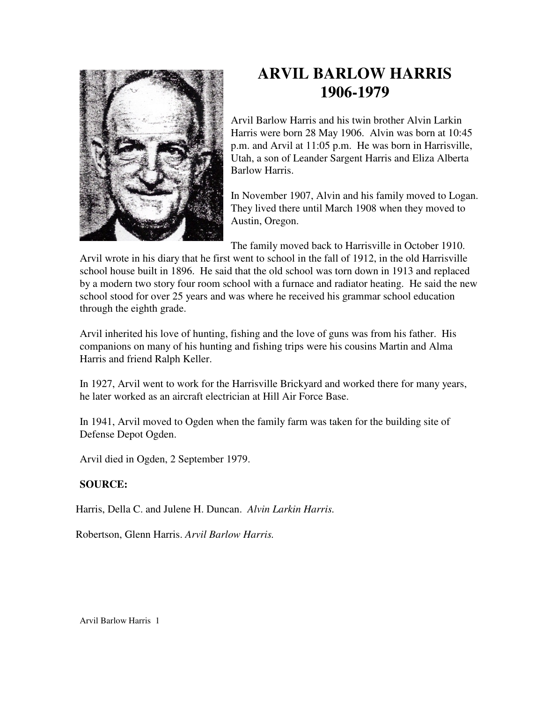

## **ARVIL BARLOW HARRIS 1906-1979**

Arvil Barlow Harris and his twin brother Alvin Larkin Harris were born 28 May 1906. Alvin was born at 10:45 p.m. and Arvil at 11:05 p.m. He was born in Harrisville, Utah, a son of Leander Sargent Harris and Eliza Alberta Barlow Harris.

In November 1907, Alvin and his family moved to Logan. They lived there until March 1908 when they moved to Austin, Oregon.

The family moved back to Harrisville in October 1910.

Arvil wrote in his diary that he first went to school in the fall of 1912, in the old Harrisville school house built in 1896. He said that the old school was torn down in 1913 and replaced by a modern two story four room school with a furnace and radiator heating. He said the new school stood for over 25 years and was where he received his grammar school education through the eighth grade.

Arvil inherited his love of hunting, fishing and the love of guns was from his father. His companions on many of his hunting and fishing trips were his cousins Martin and Alma Harris and friend Ralph Keller.

In 1927, Arvil went to work for the Harrisville Brickyard and worked there for many years, he later worked as an aircraft electrician at Hill Air Force Base.

In 1941, Arvil moved to Ogden when the family farm was taken for the building site of Defense Depot Ogden.

Arvil died in Ogden, 2 September 1979.

## **SOURCE:**

Harris, Della C. and Julene H. Duncan. *Alvin Larkin Harris.* 

Robertson, Glenn Harris. *Arvil Barlow Harris.*

Arvil Barlow Harris 1